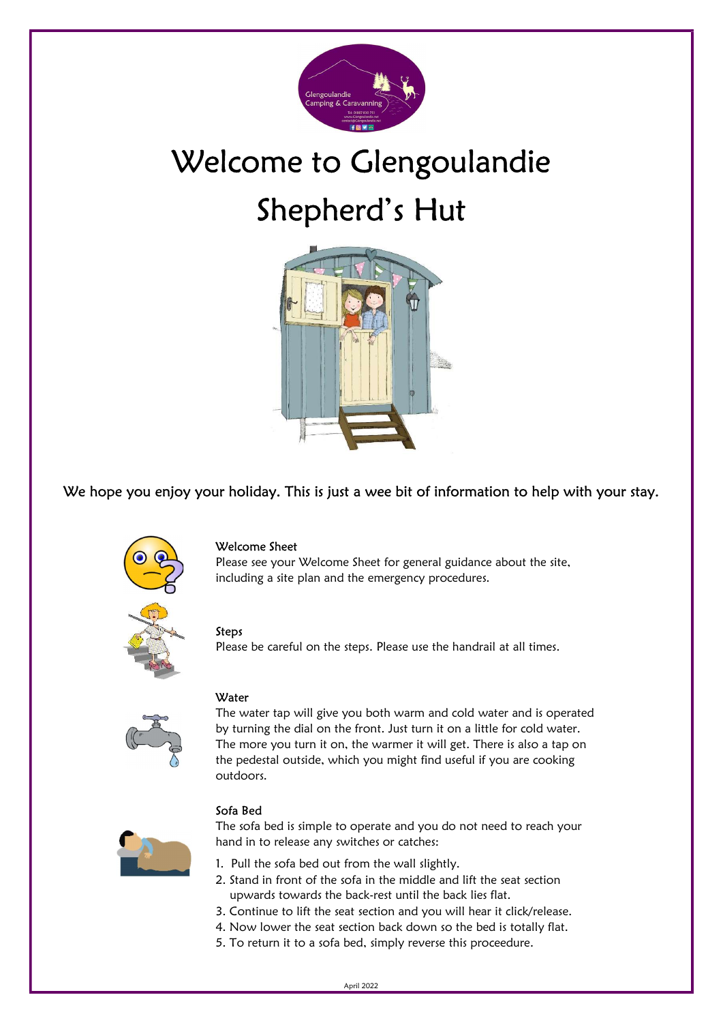

# Welcome to Glengoulandie Shepherd's Hut



We hope you enjoy your holiday. This is just a wee bit of information to help with your stay.



# Welcome Sheet

Please see your Welcome Sheet for general guidance about the site, including a site plan and the emergency procedures.

#### Steps

Please be careful on the steps. Please use the handrail at all times.



### **Water**

The water tap will give you both warm and cold water and is operated by turning the dial on the front. Just turn it on a little for cold water. The more you turn it on, the warmer it will get. There is also a tap on the pedestal outside, which you might find useful if you are cooking outdoors.



The sofa bed is simple to operate and you do not need to reach your hand in to release any switches or catches:

- 1. Pull the sofa bed out from the wall slightly.
- 2. Stand in front of the sofa in the middle and lift the seat section upwards towards the back-rest until the back lies flat.
- 3. Continue to lift the seat section and you will hear it click/release.
- 4. Now lower the seat section back down so the bed is totally flat.
- 5. To return it to a sofa bed, simply reverse this proceedure.